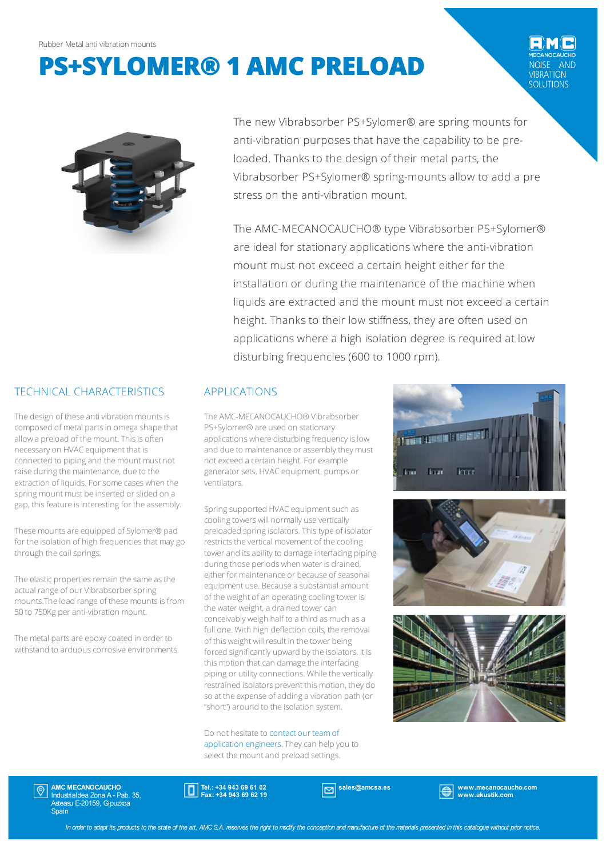# **PS+SYLOMER® 1 AMC PRELOAD**

**IBRATION** SOLUTIONS



The new Vibrabsorber PS+Sylomer® are spring mounts for anti-vibration purposes that have the capability to be preloaded. Thanks to the design of their metal parts, the Vibrabsorber PS+Sylomer® spring-mounts allow to add a pre stress on the anti-vibration mount.

The AMC-MECANOCAUCHO® type Vibrabsorber PS+Sylomer® are ideal for stationary applications where the anti-vibration mount must not exceed a certain height either for the installation or during the maintenance of the machine when liquids are extracted and the mount must not exceed a certain height. Thanks to their low stiffness, they are often used on applications where a high isolation degree is required at low disturbing frequencies (600 to 1000 rpm).

## TECHNICAL CHARACTERISTICS

The design of these anti vibration mounts is composed of metal parts in omega shape that allow a preload of the mount. This is often necessary on HVAC equipment that is connected to piping and the mount must not raise during the maintenance, due to the extraction of liquids. For some cases when the spring mount must be inserted or slided on a gap, this feature is interesting for the assembly.

These mounts are equipped of Sylomer® pad for the isolation of high frequencies that may go through the coil springs.

The elastic properties remain the same as the actual range of our Vibrabsorber spring mounts. The load range of these mounts is from 50 to 750Kg peranti-vibration mount.

The metal parts are epoxy coated in order to withstand to arduous corrosive environments.

#### APPLICATIONS

The AMC-MECANOCAUCHO® Vibrabsorber PS+Sylomer® are used on stationary applications where disturbing frequency is low and due to maintenance or assembly they must not exceed a certain height. For example generator sets, HVAC equipment, pumps or ventilators.

Spring supported HVAC equipment such as cooling towers will normally use vertically preloaded spring isolators. This type of isolator restricts the vertical movement of the cooling tower and its ability to damage interfacing piping during those periods when water is drained, either for maintenance or because of seasonal equipment use. Because a substantial amount of the weight of an operating cooling tower is the water weight, a drained tower can conceivably weigh half to a third as much as a full one. With high deflection coils, the removal of this weight will result in the tower being forced significantly upward by the isolators. It is this motion that can damage the interfacing piping or utility connections. While the vertically restrained isolators prevent this motion, they do so at the expense of adding a vibration path (or "short") around to the isolation system.

Do not hesitate to contact our teamof application engineers. They can help you to select the mount and preload settings.







AMC MECANOCAUCHO Industrialdea Zona A - Pab. 35. Asteasu E-20159, Gipuzkoa **Spain** 

Tel.: +34 943 69 61 02 Fax: +34 943 69 62 19

sales@amcsa.es and www.mecanocaucho.com www.akustik.com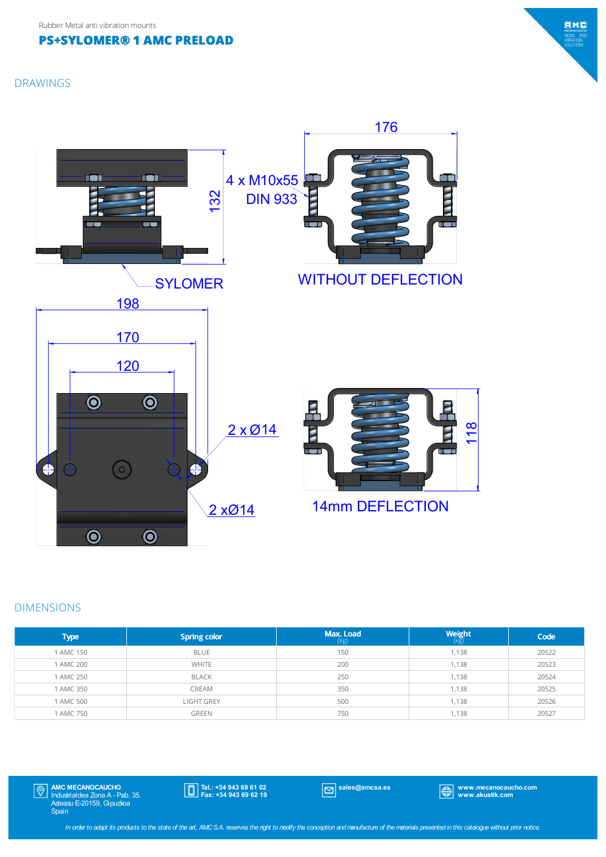## **PS+SYLOMER® 1 AMC PRELOAD**







#### DIMENSIONS

| <b>Type</b> | <b>Spring color</b> | Max. Load<br>(kg) | <b>Weight</b> | Code  |
|-------------|---------------------|-------------------|---------------|-------|
| 1 AMC 150   | <b>BLUE</b>         | 150               | 1,138         | 20522 |
| 1 AMC 200   | <b>WHITE</b>        | 200               | 1,138         | 20523 |
| 1 AMC 250   | <b>BLACK</b>        | 250               | 1,138         | 20524 |
| 1 AMC 350   | CREAM               | 350               | 1,138         | 20525 |
| 1 AMC 500   | <b>LIGHT GREY</b>   | 500               | 1,138         | 20526 |
| 1 AMC 750   | <b>GREEN</b>        | 750               | 1,138         | 20527 |

AMC MECANOCAUCHO Industrialdea Zona A - Pab. 35. Asteasu E-20159, Gipuzkoa Spain  $|\mathbb{Q}|$ 

Tel.: +34 943 69 61 02 Fax: +34 943 69 62 19

sales@amcsa.es www.mecanocaucho.com www.akustik.com